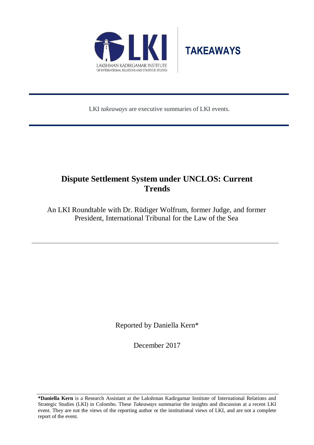



LKI *takeaways* are executive summaries of LKI events.

# **Dispute Settlement System under UNCLOS: Current Trends**

An LKI Roundtable with Dr. Rüdiger Wolfrum, former Judge, and former President, International Tribunal for the Law of the Sea

Reported by Daniella Kern\*

December 2017

**\*Daniella Kern** is a Research Assistant at the Lakshman Kadirgamar Institute of International Relations and Strategic Studies (LKI) in Colombo. These *Takeaways* summarise the insights and discussion at a recent LKI event. They are not the views of the reporting author or the institutional views of LKI, and are not a complete report of the event.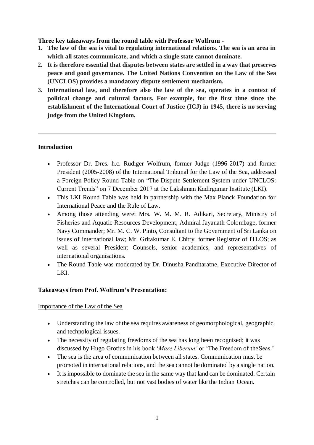### **Three key takeaways from the round table with Professor Wolfrum -**

- **1. The law of the sea is vital to regulating international relations. The sea is an area in which all states communicate, and which a single state cannot dominate.**
- **2. It is therefore essential that disputes between states are settled in a way that preserves peace and good governance. The United Nations Convention on the Law of the Sea (UNCLOS) provides a mandatory dispute settlement mechanism.**
- **3. International law, and therefore also the law of the sea, operates in a context of political change and cultural factors. For example, for the first time since the establishment of the International Court of Justice (ICJ) in 1945, there is no serving judge from the United Kingdom.**

### **Introduction**

- Professor Dr. Dres. h.c. Rüdiger Wolfrum, former Judge (1996-2017) and former President (2005-2008) of the International Tribunal for the Law of the Sea, addressed a Foreign Policy Round Table on "The Dispute Settlement System under UNCLOS: Current Trends" on 7 December 2017 at the Lakshman Kadirgamar Institute (LKI).
- This LKI Round Table was held in partnership with the Max Planck Foundation for International Peace and the Rule of Law.
- Among those attending were: Mrs. W. M. M. R. Adikari, Secretary, Ministry of Fisheries and Aquatic Resources Development; Admiral Jayanath Colombage, former Navy Commander; Mr. M. C. W. Pinto, Consultant to the Government of Sri Lanka on issues of international law; Mr. Gritakumar E. Chitty, former Registrar of ITLOS; as well as several President Counsels, senior academics, and representatives of international organisations.
- The Round Table was moderated by Dr. Dinusha Panditaratne, Executive Director of LKI.

### **Takeaways from Prof. Wolfrum's Presentation:**

#### Importance of the Law of the Sea

- Understanding the law of the sea requires awareness of geomorphological, geographic, and technological issues.
- The necessity of regulating freedoms of the sea has long been recognised; it was discussed by Hugo Grotius in his book '*Mare Liberum'* or 'The Freedom of theSeas.'
- The sea is the area of communication between all states. Communication must be promoted in international relations, and the sea cannot be dominated by a single nation.
- It is impossible to dominate the sea in the same way that land can be dominated. Certain stretches can be controlled, but not vast bodies of water like the Indian Ocean.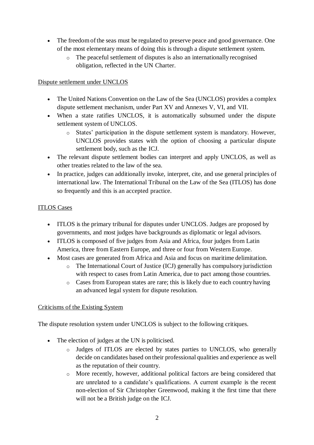- The freedom of the seas must be regulated to preserve peace and good governance. One of the most elementary means of doing this is through a dispute settlement system.
	- o The peaceful settlement of disputes is also an internationally recognised obligation, reflected in the UN Charter.

# Dispute settlement under UNCLOS

- The United Nations Convention on the Law of the Sea (UNCLOS) provides a complex dispute settlement mechanism, under Part XV and Annexes V, VI, and VII.
- When a state ratifies UNCLOS, it is automatically subsumed under the dispute settlement system of UNCLOS.
	- o States' participation in the dispute settlement system is mandatory. However, UNCLOS provides states with the option of choosing a particular dispute settlement body, such as the ICJ.
- The relevant dispute settlement bodies can interpret and apply UNCLOS, as well as other treaties related to the law of the sea.
- In practice, judges can additionally invoke, interpret, cite, and use general principles of international law. The International Tribunal on the Law of the Sea (ITLOS) has done so frequently and this is an accepted practice.

# ITLOS Cases

- ITLOS is the primary tribunal for disputes under UNCLOS. Judges are proposed by governments, and most judges have backgrounds as diplomatic or legal advisors.
- ITLOS is composed of five judges from Asia and Africa, four judges from Latin America, three from Eastern Europe, and three or four from Western Europe.
- Most cases are generated from Africa and Asia and focus on maritime delimitation.
	- $\circ$  The International Court of Justice (ICJ) generally has compulsory jurisdiction with respect to cases from Latin America, due to pact among those countries.
	- o Cases from European states are rare; this is likely due to each country having an advanced legal system for dispute resolution.

# Criticisms of the Existing System

The dispute resolution system under UNCLOS is subject to the following critiques.

- The election of judges at the UN is politicised.
	- o Judges of ITLOS are elected by states parties to UNCLOS, who generally decide on candidates based on their professional qualities and experience as well as the reputation of their country.
	- o More recently, however, additional political factors are being considered that are unrelated to a candidate's qualifications. A current example is the recent non-election of Sir Christopher Greenwood, making it the first time that there will not be a British judge on the ICJ.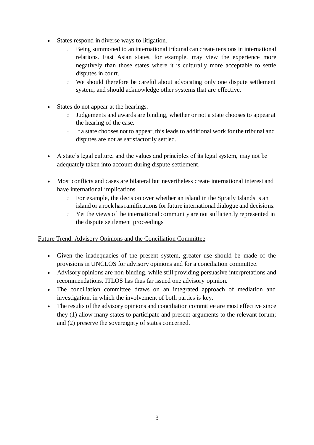- States respond in diverse ways to litigation.
	- o Being summoned to an international tribunal can create tensions in international relations. East Asian states, for example, may view the experience more negatively than those states where it is culturally more acceptable to settle disputes in court.
	- o We should therefore be careful about advocating only one dispute settlement system, and should acknowledge other systems that are effective.
- States do not appear at the hearings.
	- o Judgements and awards are binding, whether or not a state chooses to appear at the hearing of the case.
	- o If a state chooses not to appear, this leads to additional work for the tribunal and disputes are not as satisfactorily settled.
- A state's legal culture, and the values and principles of its legal system, may not be adequately taken into account during dispute settlement.
- Most conflicts and cases are bilateral but nevertheless create international interest and have international implications.
	- o For example, the decision over whether an island in the Spratly Islands is an island or a rock has ramifications for future international dialogue and decisions.
	- o Yet the views of the international community are not sufficiently represented in the dispute settlement proceedings

# Future Trend: Advisory Opinions and the Conciliation Committee

- Given the inadequacies of the present system, greater use should be made of the provisions in UNCLOS for advisory opinions and for a conciliation committee.
- Advisory opinions are non-binding, while still providing persuasive interpretations and recommendations. ITLOS has thus far issued one advisory opinion.
- The conciliation committee draws on an integrated approach of mediation and investigation, in which the involvement of both parties is key.
- The results of the advisory opinions and conciliation committee are most effective since they (1) allow many states to participate and present arguments to the relevant forum; and (2) preserve the sovereignty of states concerned.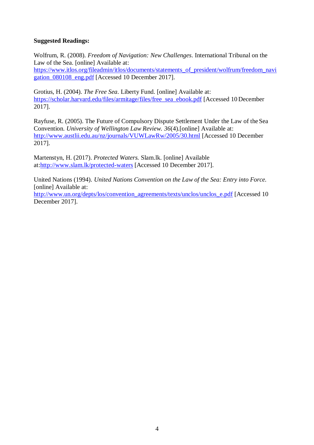### **Suggested Readings:**

Wolfrum, R. (2008). *Freedom of Navigation: New Challenges*. International Tribunal on the Law of the Sea. [online] Available at:

[https://www.itlos.org/fileadmin/itlos/documents/statements\\_of\\_president/wolfrum/freedom\\_navi](https://www.itlos.org/fileadmin/itlos/documents/statements_of_president/wolfrum/freedom_navigation_080108_eng.pdf) [gation\\_080108\\_eng.pdf](https://www.itlos.org/fileadmin/itlos/documents/statements_of_president/wolfrum/freedom_navigation_080108_eng.pdf) [Accessed 10 December 2017].

Grotius, H. (2004). *The Free Sea*. Liberty Fund. [online] Available at: [https://scholar.harvard.edu/files/armitage/files/free\\_sea\\_ebook.pdf](https://scholar.harvard.edu/files/armitage/files/free_sea_ebook.pdf) [Accessed 10 December 2017].

Rayfuse, R. (2005). The Future of Compulsory Dispute Settlement Under the Law of the Sea Convention. *University of Wellington Law Review. 36*(4).[online] Available at: <http://www.austlii.edu.au/nz/journals/VUWLawRw/2005/30.html> [Accessed 10 December 2017].

Martenstyn, H. (2017). *Protected Waters.* Slam.lk. [online] Available a[t:http://www.slam.lk/protected-waters](http://www.slam.lk/protected-waters) [Accessed 10 December 2017].

United Nations (1994). *United Nations Convention on the Law of the Sea: Entry into Force.*  [online] Available at:

[http://www.un.org/depts/los/convention\\_agreements/texts/unclos/unclos\\_e.pdf](http://www.un.org/depts/los/convention_agreements/texts/unclos/unclos_e.pdf) [Accessed 10 December 2017].